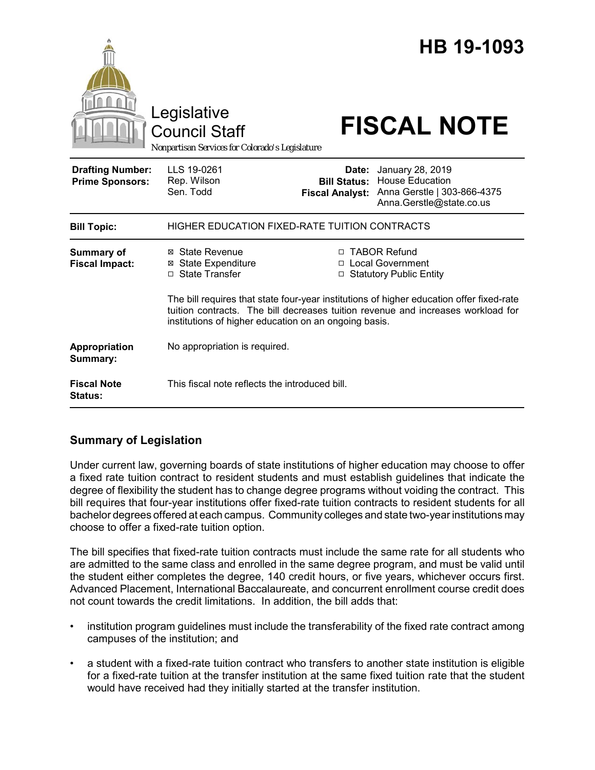|                                                   | Legislative<br><b>Council Staff</b><br>Nonpartisan Services for Colorado's Legislature |                                                                                                                                                                                                                                                                                                                      | HB 19-1093<br><b>FISCAL NOTE</b>                                                                      |
|---------------------------------------------------|----------------------------------------------------------------------------------------|----------------------------------------------------------------------------------------------------------------------------------------------------------------------------------------------------------------------------------------------------------------------------------------------------------------------|-------------------------------------------------------------------------------------------------------|
| <b>Drafting Number:</b><br><b>Prime Sponsors:</b> | LLS 19-0261<br>Rep. Wilson<br>Sen. Todd                                                | Date:<br><b>Bill Status:</b><br><b>Fiscal Analyst:</b>                                                                                                                                                                                                                                                               | January 28, 2019<br><b>House Education</b><br>Anna Gerstle   303-866-4375<br>Anna.Gerstle@state.co.us |
| <b>Bill Topic:</b>                                | HIGHER EDUCATION FIXED-RATE TUITION CONTRACTS                                          |                                                                                                                                                                                                                                                                                                                      |                                                                                                       |
| <b>Summary of</b><br><b>Fiscal Impact:</b>        | ⊠ State Revenue<br><b>⊠</b> State Expenditure<br>□ State Transfer                      | □ TABOR Refund<br>□ Local Government<br><b>Statutory Public Entity</b><br>□<br>The bill requires that state four-year institutions of higher education offer fixed-rate<br>tuition contracts. The bill decreases tuition revenue and increases workload for<br>institutions of higher education on an ongoing basis. |                                                                                                       |
| Appropriation<br>Summary:                         | No appropriation is required.                                                          |                                                                                                                                                                                                                                                                                                                      |                                                                                                       |
| <b>Fiscal Note</b><br>Status:                     | This fiscal note reflects the introduced bill.                                         |                                                                                                                                                                                                                                                                                                                      |                                                                                                       |

# **Summary of Legislation**

Under current law, governing boards of state institutions of higher education may choose to offer a fixed rate tuition contract to resident students and must establish guidelines that indicate the degree of flexibility the student has to change degree programs without voiding the contract. This bill requires that four-year institutions offer fixed-rate tuition contracts to resident students for all bachelor degrees offered at each campus. Community colleges and state two-year institutions may choose to offer a fixed-rate tuition option.

The bill specifies that fixed-rate tuition contracts must include the same rate for all students who are admitted to the same class and enrolled in the same degree program, and must be valid until the student either completes the degree, 140 credit hours, or five years, whichever occurs first. Advanced Placement, International Baccalaureate, and concurrent enrollment course credit does not count towards the credit limitations. In addition, the bill adds that:

- institution program guidelines must include the transferability of the fixed rate contract among campuses of the institution; and
- a student with a fixed-rate tuition contract who transfers to another state institution is eligible for a fixed-rate tuition at the transfer institution at the same fixed tuition rate that the student would have received had they initially started at the transfer institution.